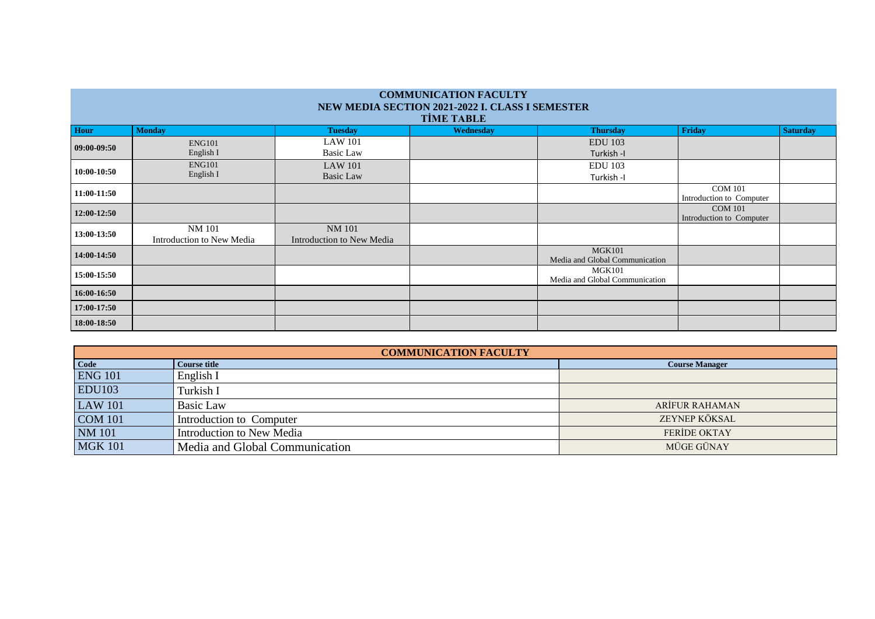| <b>COMMUNICATION FACULTY</b><br>NEW MEDIA SECTION 2021-2022 I. CLASS I SEMESTER<br><b>TİME TABLE</b> |                            |                                    |                  |                                |                          |                 |
|------------------------------------------------------------------------------------------------------|----------------------------|------------------------------------|------------------|--------------------------------|--------------------------|-----------------|
| Hour                                                                                                 | <b>Monday</b>              | <b>Tuesday</b>                     | <b>Wednesday</b> | <b>Thursday</b>                | Friday                   | <b>Saturday</b> |
| $09:00-09:50$                                                                                        | <b>ENG101</b><br>English I | <b>LAW 101</b><br><b>Basic Law</b> |                  | <b>EDU</b> 103<br>Turkish-I    |                          |                 |
|                                                                                                      | <b>ENG101</b>              |                                    |                  |                                |                          |                 |
| 10:00-10:50                                                                                          |                            | <b>LAW 101</b>                     |                  | <b>EDU</b> 103                 |                          |                 |
|                                                                                                      | English I                  | <b>Basic Law</b>                   |                  | Turkish -I                     |                          |                 |
| 11:00-11:50                                                                                          |                            |                                    |                  |                                | <b>COM 101</b>           |                 |
|                                                                                                      |                            |                                    |                  |                                | Introduction to Computer |                 |
| 12:00-12:50                                                                                          |                            |                                    |                  |                                | <b>COM 101</b>           |                 |
|                                                                                                      |                            |                                    |                  |                                | Introduction to Computer |                 |
|                                                                                                      | <b>NM 101</b>              | <b>NM 101</b>                      |                  |                                |                          |                 |
| 13:00-13:50                                                                                          | Introduction to New Media  | Introduction to New Media          |                  |                                |                          |                 |
| 14:00-14:50                                                                                          |                            |                                    |                  | <b>MGK101</b>                  |                          |                 |
|                                                                                                      |                            |                                    |                  | Media and Global Communication |                          |                 |
|                                                                                                      |                            |                                    |                  | MGK101                         |                          |                 |
| 15:00-15:50                                                                                          |                            |                                    |                  | Media and Global Communication |                          |                 |
| 16:00-16:50                                                                                          |                            |                                    |                  |                                |                          |                 |
| 17:00-17:50                                                                                          |                            |                                    |                  |                                |                          |                 |
| 18:00-18:50                                                                                          |                            |                                    |                  |                                |                          |                 |

| <b>COMMUNICATION FACULTY</b> |                                |                       |  |
|------------------------------|--------------------------------|-----------------------|--|
| Code                         | <b>Course title</b>            | <b>Course Manager</b> |  |
| <b>ENG 101</b>               | English I                      |                       |  |
| <b>EDU103</b>                | Turkish I                      |                       |  |
| <b>LAW 101</b>               | <b>Basic Law</b>               | <b>ARIFUR RAHAMAN</b> |  |
| <b>COM 101</b>               | Introduction to Computer       | ZEYNEP KÖKSAL         |  |
| <b>NM</b> 101                | Introduction to New Media      | <b>FERIDE OKTAY</b>   |  |
| <b>MGK 101</b>               | Media and Global Communication | MÜGE GÜNAY            |  |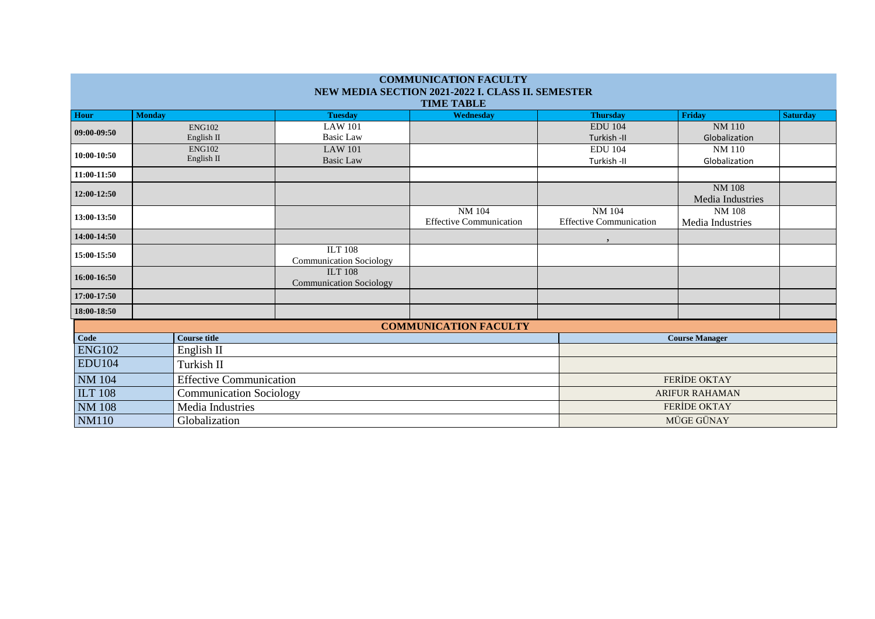| <b>COMMUNICATION FACULTY</b><br>NEW MEDIA SECTION 2021-2022 I. CLASS II. SEMESTER |                                |                                |                                |                                |                       |                 |  |
|-----------------------------------------------------------------------------------|--------------------------------|--------------------------------|--------------------------------|--------------------------------|-----------------------|-----------------|--|
|                                                                                   |                                |                                | <b>TIME TABLE</b>              |                                |                       |                 |  |
| <b>Hour</b>                                                                       | <b>Monday</b>                  | <b>Tuesday</b>                 | Wednesday                      | <b>Thursday</b>                | Friday                | <b>Saturday</b> |  |
| 09:00-09:50                                                                       | <b>ENG102</b>                  | <b>LAW 101</b>                 |                                | <b>EDU 104</b>                 | <b>NM 110</b>         |                 |  |
|                                                                                   | English II                     | <b>Basic Law</b>               |                                | Turkish -II                    | Globalization         |                 |  |
| 10:00-10:50                                                                       | <b>ENG102</b>                  | <b>LAW 101</b>                 |                                | <b>EDU 104</b>                 | <b>NM 110</b>         |                 |  |
|                                                                                   | English II                     | <b>Basic Law</b>               |                                | Turkish -II                    | Globalization         |                 |  |
| 11:00-11:50                                                                       |                                |                                |                                |                                |                       |                 |  |
|                                                                                   |                                |                                |                                |                                | <b>NM 108</b>         |                 |  |
| 12:00-12:50                                                                       |                                |                                |                                |                                | Media Industries      |                 |  |
| 13:00-13:50                                                                       |                                |                                | NM 104                         | <b>NM 104</b>                  | <b>NM 108</b>         |                 |  |
|                                                                                   |                                |                                | <b>Effective Communication</b> | <b>Effective Communication</b> | Media Industries      |                 |  |
| 14:00-14:50                                                                       |                                |                                |                                | $\cdot$                        |                       |                 |  |
| 15:00-15:50                                                                       |                                | <b>ILT 108</b>                 |                                |                                |                       |                 |  |
|                                                                                   |                                | <b>Communication Sociology</b> |                                |                                |                       |                 |  |
| 16:00-16:50                                                                       |                                | <b>ILT 108</b>                 |                                |                                |                       |                 |  |
|                                                                                   |                                | <b>Communication Sociology</b> |                                |                                |                       |                 |  |
| 17:00-17:50                                                                       |                                |                                |                                |                                |                       |                 |  |
| 18:00-18:50                                                                       |                                |                                |                                |                                |                       |                 |  |
| <b>COMMUNICATION FACULTY</b>                                                      |                                |                                |                                |                                |                       |                 |  |
| Code                                                                              | <b>Course title</b>            |                                |                                |                                | <b>Course Manager</b> |                 |  |
| <b>ENG102</b>                                                                     | English II                     |                                |                                |                                |                       |                 |  |
| <b>EDU104</b>                                                                     | Turkish II                     |                                |                                |                                |                       |                 |  |
| <b>NM</b> 104                                                                     | <b>Effective Communication</b> |                                | <b>FERIDE OKTAY</b>            |                                |                       |                 |  |
| <b>ILT 108</b>                                                                    | <b>Communication Sociology</b> |                                |                                | <b>ARIFUR RAHAMAN</b>          |                       |                 |  |
| <b>NM 108</b>                                                                     | Media Industries               |                                |                                |                                | <b>FERIDE OKTAY</b>   |                 |  |
| <b>NM110</b><br>Globalization                                                     |                                |                                | MÜGE GÜNAY                     |                                |                       |                 |  |